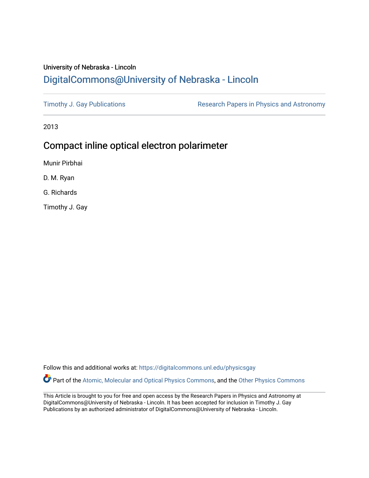## University of Nebraska - Lincoln [DigitalCommons@University of Nebraska - Lincoln](https://digitalcommons.unl.edu/)

[Timothy J. Gay Publications](https://digitalcommons.unl.edu/physicsgay) **Research Papers in Physics and Astronomy** 

2013

# Compact inline optical electron polarimeter

Munir Pirbhai

D. M. Ryan

G. Richards

Timothy J. Gay

Follow this and additional works at: [https://digitalcommons.unl.edu/physicsgay](https://digitalcommons.unl.edu/physicsgay?utm_source=digitalcommons.unl.edu%2Fphysicsgay%2F84&utm_medium=PDF&utm_campaign=PDFCoverPages)

Part of the [Atomic, Molecular and Optical Physics Commons,](http://network.bepress.com/hgg/discipline/195?utm_source=digitalcommons.unl.edu%2Fphysicsgay%2F84&utm_medium=PDF&utm_campaign=PDFCoverPages) and the [Other Physics Commons](http://network.bepress.com/hgg/discipline/207?utm_source=digitalcommons.unl.edu%2Fphysicsgay%2F84&utm_medium=PDF&utm_campaign=PDFCoverPages) 

This Article is brought to you for free and open access by the Research Papers in Physics and Astronomy at DigitalCommons@University of Nebraska - Lincoln. It has been accepted for inclusion in Timothy J. Gay Publications by an authorized administrator of DigitalCommons@University of Nebraska - Lincoln.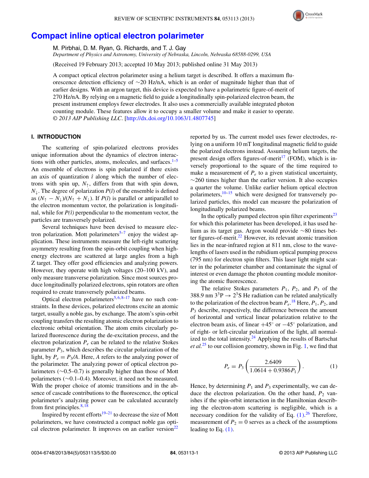

### **[Compact inline optical electron polarimeter](http://dx.doi.org/10.1063/1.4807745)**

M. Pirbhai, D. M. Ryan, G. Richards, and T. J. Gay

*Department of Physics and Astronomy, University of Nebraska, Lincoln, Nebraska 68588-0299, USA*

(Received 19 February 2013; accepted 10 May 2013; published online 31 May 2013)

A compact optical electron polarimeter using a helium target is described. It offers a maximum fluorescence detection efficiency of ∼20 Hz/nA, which is an order of magnitude higher than that of earlier designs. With an argon target, this device is expected to have a polarimetric figure-of-merit of 270 Hz/nA. By relying on a magnetic field to guide a longitudinally spin-polarized electron beam, the present instrument employs fewer electrodes. It also uses a commercially available integrated photon counting module. These features allow it to occupy a smaller volume and make it easier to operate. *© 2013 AIP Publishing LLC*. [\[http://dx.doi.org/10.1063/1.4807745\]](http://dx.doi.org/10.1063/1.4807745)

### **I. INTRODUCTION**

The scattering of spin-polarized electrons provides unique information about the dynamics of electron interactions with other particles, atoms, molecules, and surfaces. $1-5$  $1-5$ An ensemble of electrons is spin polarized if there exists an axis of quantization  $\hat{i}$  along which the number of electrons with spin up,  $N_{\uparrow}$ , differs from that with spin down,  $N_{\downarrow}$ . The degree of polarization  $P(\hat{i})$  of the ensemble is defined as  $(N_{\uparrow} - N_{\downarrow})/(N_{\uparrow} + N_{\downarrow})$ . If *P*(*î*) is parallel or antiparallel to the electron momentum vector, the polarization is longitudinal, while for  $P(\hat{i})$  perpendicular to the momentum vector, the particles are transversely polarized.

Several techniques have been devised to measure elec-tron polarization. Mott polarimeters<sup>[5](#page-5-1)-7</sup> enjoy the widest application. These instruments measure the left-right scattering asymmetry resulting from the spin-orbit coupling when highenergy electrons are scattered at large angles from a high Z target. They offer good efficiencies and analyzing powers. However, they operate with high voltages (20–100 kV), and only measure transverse polarization. Since most sources produce longitudinally polarized electrons, spin rotators are often required to create transversely polarized beams.

Optical electron polarimeters<sup>5, [6,](#page-5-3) [8](#page-5-4)[–17](#page-5-5)</sup> have no such constraints. In these devices, polarized electrons excite an atomic target, usually a noble gas, by exchange. The atom's spin-orbit coupling transfers the resulting atomic electron polarization to electronic orbital orientation. The atom emits circularly polarized fluorescence during the de-excitation process, and the electron polarization  $P_e$  can be related to the relative Stokes parameter  $P_3$ , which describes the circular polarization of the light, by  $P_e = P_3/A$ . Here, *A* refers to the analyzing power of the polarimeter. The analyzing power of optical electron polarimeters (∼0.5–0.7) is generally higher than those of Mott polarimeters (∼0.1–0.4). Moreover, it need not be measured. With the proper choice of atomic transitions and in the absence of cascade contributions to the fluorescence, the optical polarimeter's analyzing power can be calculated accurately from first principles. $8,18$  $8,18$ 

Inspired by recent efforts $19-21$  $19-21$  to decrease the size of Mott polarimeters, we have constructed a compact noble gas optical electron polarimeter. It improves on an earlier version $^{22}$ 

reported by us. The current model uses fewer electrodes, relying on a uniform 10 mT longitudinal magnetic field to guide the polarized electrons instead. Assuming helium targets, the present design offers figures-of-merit<sup>[17](#page-5-5)</sup> (FOM), which is inversely proportional to the square of the time required to make a measurement of  $P_e$  to a given statistical uncertainty,  $\sim$ 260 times higher than the earlier version. It also occupies a quarter the volume. Unlike earlier helium optical electron polarimeters[,10–](#page-5-10)[15](#page-5-11) which were designed for transversely polarized particles, this model can measure the polarization of longitudinally polarized beams.

In the optically pumped electron spin filter experiments $^{23}$ for which this polarimeter has been developed, it has used helium as its target gas. Argon would provide ∼80 times better figures-of-merit. $^{22}$  However, its relevant atomic transition lies in the near-infrared region at 811 nm, close to the wavelengths of lasers used in the rubidium optical pumping process (795 nm) for electron spin filters. This laser light might scatter in the polarimeter chamber and contaminate the signal of interest or even damage the photon counting module monitoring the atomic fluorescence.

The relative Stokes parameters  $P_1$ ,  $P_2$ , and  $P_3$  of the 388.9 nm  $3^{3}P \rightarrow 2^{3}S$  He radiation can be related analytically to the polarization of the electron beam  $P_e$ .<sup>[18](#page-5-6)</sup> Here,  $P_1$ ,  $P_2$ , and *P*<sup>3</sup> describe, respectively, the difference between the amount of horizontal and vertical linear polarization relative to the electron beam axis, of linear  $+45°$  or  $-45°$  polarization, and of right- or left-circular polarization of the light, all normalized to the total intensity. $24$  Applying the results of Bartschat *et al.*[25](#page-5-14) to our collision geometry, shown in Fig. [1,](#page-2-0) we find that

<span id="page-1-0"></span>
$$
P_e = P_3 \left( \frac{2.6409}{1.0614 + 0.9386 P_1} \right). \tag{1}
$$

Hence, by determining  $P_1$  and  $P_3$  experimentally, we can deduce the electron polarization. On the other hand,  $P_2$  vanishes if the spin-orbit interaction in the Hamiltonian describing the electron-atom scattering is negligible, which is a necessary condition for the validity of Eq.  $(1)$ .<sup>[26](#page-5-15)</sup> Therefore, measurement of  $P_2 = 0$  serves as a check of the assumptions leading to Eq.  $(1)$ .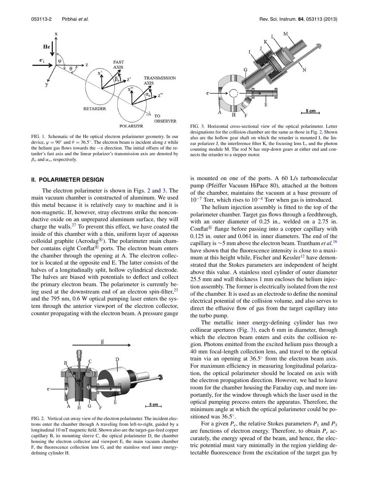<span id="page-2-0"></span>Hε

 $e_i$ 



FIG. 1. Schematic of the He optical electron polarimeter geometry. In our device,  $\varphi = 90^\circ$  and  $\theta = 36.5^\circ$ . The electron beam is incident along z while the helium gas flows towards the −x direction. The initial offsets of the retarder's fast axis and the linear polarizer's transmission axis are denoted by  $\beta$ <sup>*o*</sup> and  $\alpha$ <sup>*o*</sup>, respectively.

#### **II. POLARIMETER DESIGN**

The electron polarimeter is shown in Figs. [2](#page-2-1) and [3.](#page-2-2) The main vacuum chamber is constructed of aluminum. We used this metal because it is relatively easy to machine and it is non-magnetic. If, however, stray electrons strike the nonconductive oxide on an unprepared aluminum surface, they will charge the walls. $27$  To prevent this effect, we have coated the inside of this chamber with a thin, uniform layer of aqueous colloidal graphite (Aerodag<sup>®</sup>). The polarimeter main chamber contains eight Conflat $\mathbb{R}^3$  ports. The electron beam enters the chamber through the opening at A. The electron collector is located at the opposite end E. The latter consists of the halves of a longitudinally split, hollow cylindrical electrode. The halves are biased with potentials to deflect and collect the primary electron beam. The polarimeter is currently being used at the downstream end of an electron spin-filter, $^{23}$  $^{23}$  $^{23}$ and the 795 nm, 0.6 W optical pumping laser enters the system through the anterior viewport of the electron collector, counter propagating with the electron beam. A pressure gauge

<span id="page-2-1"></span>

FIG. 2. Vertical cut-away view of the electron polarimeter. The incident electrons enter the chamber through A traveling from left-to-right, guided by a longitudinal 10 mT magnetic field. Shown also are the target-gas-feed copper capillary B, its mounting sleeve C, the optical polarimeter D, the chamber housing the electron collector and viewport E, the main vacuum chamber F, the fluorescence collection lens G, and the stainless steel inner energydefining cylinder H.

<span id="page-2-2"></span>

FIG. 3. Horizontal cross-sectional view of the optical polarimeter. Letter designations for the collision chamber are the same as those in Fig. [2.](#page-2-1) Shown also are the hollow gear shaft on which the retarder is mounted I, the linear polarizer J, the interference filter K, the focusing lens L, and the photon counting module M. The rod N has step-down gears at either end and connects the retarder to a stepper motor.

is mounted on one of the ports. A 60 L/s turbomolecular pump (Pfeiffer Vacuum HiPace 80), attached at the bottom of the chamber, maintains the vacuum at a base pressure of  $10^{-7}$  Torr, which rises to  $10^{-4}$  Torr when gas is introduced.

The helium injection assembly is fitted to the top of the polarimeter chamber. Target gas flows through a feedthrough, with an outer diameter of 0.25 in., welded on a 2.75 in. Conflat<sup>( $\&$ </sup>) flange before passing into a copper capillary with 0.125 in. outer and 0.061 in. inner diameters. The end of the capillary is <sup>∼</sup>5 mm above the electron beam. Trantham *et al.*[16](#page-5-17) have shown that the fluorescence intensity is close to a maxi-mum at this height while, Fischer and Kessler<sup>[12](#page-5-18)</sup> have demonstrated that the Stokes parameters are independent of height above this value. A stainless steel cylinder of outer diameter 25.5 mm and wall thickness 1 mm encloses the helium injection assembly. The former is electrically isolated from the rest of the chamber. It is used as an electrode to define the nominal electrical potential of the collision volume, and also serves to direct the effusive flow of gas from the target capillary into the turbo pump.

The metallic inner energy-defining cylinder has two collinear apertures (Fig. [3\)](#page-2-2), each 6 mm in diameter, through which the electron beam enters and exits the collision region. Photons emitted from the excited helium pass through a 40 mm focal-length collection lens, and travel to the optical train via an opening at 36.5◦ from the electron beam axis. For maximum efficiency in measuring longitudinal polarization, the optical polarimeter should be located on axis with the electron propagation direction. However, we had to leave room for the chamber housing the Faraday cup, and more importantly, for the window through which the laser used in the optical pumping process enters the apparatus. Therefore, the minimum angle at which the optical polarimeter could be positioned was 36.5◦.

For a given  $P_e$ , the relative Stokes parameters  $P_1$  and  $P_3$ are functions of electron energy. Therefore, to obtain *Pe* accurately, the energy spread of the beam, and hence, the electric potential must vary minimally in the region yielding detectable fluorescence from the excitation of the target gas by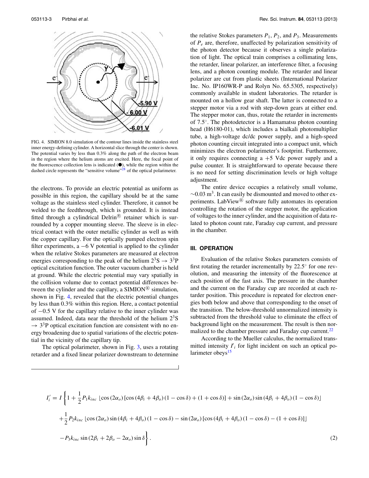<span id="page-3-0"></span>

FIG. 4. SIMION 8.0 simulation of the contour lines inside the stainless steel inner energy-defining cylinder. A horizontal slice through the center is shown. The potential varies by less than 0.3% along the path of the electron beam in the region where the helium atoms are excited. Here, the focal point of the fluorescence collection lens is indicated  $(①)$ , while the region within the dashed circle represents the "sensitive volume"<sup>28</sup> of the optical polarimeter.

the electrons. To provide an electric potential as uniform as possible in this region, the capillary should be at the same voltage as the stainless steel cylinder. Therefore, it cannot be welded to the feedthrough, which is grounded. It is instead fitted through a cylindrical Delrin<sup>( $\&$ </sup> retainer which is surrounded by a copper mounting sleeve. The sleeve is in electrical contact with the outer metallic cylinder as well as with the copper capillary. For the optically pumped electron spin filter experiments,  $a -6$  V potential is applied to the cylinder when the relative Stokes parameters are measured at electron energies corresponding to the peak of the helium  $2^{3}S \rightarrow 3^{3}P$ optical excitation function. The outer vacuum chamber is held at ground. While the electric potential may vary spatially in the collision volume due to contact potential differences between the cylinder and the capillary, a SIMION<sup>®</sup> simulation, shown in Fig. [4,](#page-3-0) revealed that the electric potential changes by less than 0.3% within this region. Here, a contact potential of −0.5 V for the capillary relative to the inner cylinder was assumed. Indeed, data near the threshold of the helium  $2<sup>3</sup>S$  $\rightarrow$  3<sup>3</sup>P optical excitation function are consistent with no energy broadening due to spatial variations of the electric potential in the vicinity of the capillary tip.

The optical polarimeter, shown in Fig. [3,](#page-2-2) uses a rotating retarder and a fixed linear polarizer downstream to determine the relative Stokes parameters  $P_1$ ,  $P_2$ , and  $P_3$ . Measurements of *Pe* are, therefore, unaffected by polarization sensitivity of the photon detector because it observes a single polarization of light. The optical train comprises a collimating lens, the retarder, linear polarizer, an interference filter, a focusing lens, and a photon counting module. The retarder and linear polarizer are cut from plastic sheets (International Polarizer Inc. No. IP160WR-P and Rolyn No. 65.5305, respectively) commonly available in student laboratories. The retarder is mounted on a hollow gear shaft. The latter is connected to a stepper motor via a rod with step-down gears at either end. The stepper motor can, thus, rotate the retarder in increments of 7.5◦. The photodetector is a Hamamatsu photon counting head (H6180-01), which includes a bialkali photomultiplier tube, a high-voltage dc/dc power supply, and a high-speed photon counting circuit integrated into a compact unit, which minimizes the electron polarimeter's footprint. Furthermore, it only requires connecting  $a + 5$  Vdc power supply and a pulse counter. It is straightforward to operate because there is no need for setting discrimination levels or high voltage adjustment.

The entire device occupies a relatively small volume,  $\sim$ 0.03 m<sup>3</sup>. It can easily be dismounted and moved to other experiments. LabView<sup>®</sup> software fully automates its operation controlling the rotation of the stepper motor, the application of voltages to the inner cylinder, and the acquisition of data related to photon count rate, Faraday cup current, and pressure in the chamber.

#### **III. OPERATION**

Evaluation of the relative Stokes parameters consists of first rotating the retarder incrementally by 22.5◦ for one revolution, and measuring the intensity of the fluorescence at each position of the fast axis. The pressure in the chamber and the current on the Faraday cup are recorded at each retarder position. This procedure is repeated for electron energies both below and above that corresponding to the onset of the transition. The below-threshold unnormalized intensity is subtracted from the threshold value to eliminate the effect of background light on the measurement. The result is then nor-malized to the chamber pressure and Faraday cup current.<sup>[22](#page-5-9)</sup>

According to the Mueller calculus, the normalized transmitted intensity  $I_i$  for light incident on such an optical po-larimeter obeys<sup>[15](#page-5-11)</sup>

<span id="page-3-1"></span>
$$
I'_{i} = I \left\{ 1 + \frac{1}{2} P_{1} k_{inc} \left[ \cos \left( 2 \alpha_{o} \right) \left[ \cos \left( 4 \beta_{i} + 4 \beta_{o} \right) \left( 1 - \cos \delta \right) + \left( 1 + \cos \delta \right) \right] + \sin \left( 2 \alpha_{o} \right) \sin \left( 4 \beta_{i} + 4 \beta_{o} \right) \left( 1 - \cos \delta \right) \right] \right\}
$$

$$
+ \frac{1}{2} P_{2} k_{inc} \left[ \cos \left( 2 \alpha_{o} \right) \sin \left( 4 \beta_{i} + 4 \beta_{o} \right) \left( 1 - \cos \delta \right) - \sin \left( 2 \alpha_{o} \right) \left[ \cos \left( 4 \beta_{i} + 4 \beta_{o} \right) \left( 1 - \cos \delta \right) - \left( 1 + \cos \delta \right) \right] \right]
$$

$$
- P_{3} k_{inc} \sin \left( 2 \beta_{i} + 2 \beta_{o} - 2 \alpha_{o} \right) \sin \delta \right\}.
$$

$$
(2)
$$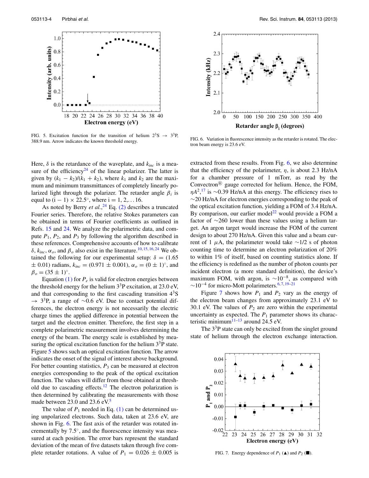<span id="page-4-0"></span>

FIG. 5. Excitation function for the transition of helium  $2^3S \rightarrow 3^3P$ , 388.9 nm. Arrow indicates the known threshold energy.

Here,  $\delta$  is the retardance of the waveplate, and  $k_{inc}$  is a measure of the efficiency<sup>24</sup> of the linear polarizer. The latter is given by  $(k_1 - k_2)/(k_1 + k_2)$ , where  $k_1$  and  $k_2$  are the maximum and minimum transmittances of completely linearly polarized light through the polarizer. The retarder angle  $\beta_i$  is equal to  $(i - 1) \times 22.5^{\circ}$ , where  $i = 1, 2, \dots 16$ .

As noted by Berry *et al.*, [24](#page-5-13) Eq. [\(2\)](#page-3-1) describes a truncated Fourier series. Therefore, the relative Stokes parameters can be obtained in terms of Fourier coefficients as outlined in Refs. [15](#page-5-11) and [24.](#page-5-13) We analyze the polarimetric data, and compute  $P_1$ ,  $P_2$ , and  $P_3$  by following the algorithm described in these references. Comprehensive accounts of how to calibrate *δ*,  $k_{inc}$ ,  $\alpha$ <sub>*o*</sub>, and  $\beta$ <sub>*o*</sub> also exist in the literature.<sup>[10,](#page-5-10) [15,](#page-5-11) [16,](#page-5-17) [24](#page-5-13)</sup> We obtained the following for our experimental setup:  $\delta = (1.65$  $\pm$  0.01) radians,  $k_{inc} = (0.971 \pm 0.001)$ ,  $\alpha_o = (0 \pm 1)^\circ$ , and  $\beta_o = (35 \pm 1)^\circ$ .

Equation  $(1)$  for  $P_e$  is valid for electron energies between the threshold energy for the helium  $3^{3}P$  excitation, at 23.0 eV, and that corresponding to the first cascading transition  $4<sup>3</sup>S$  $\rightarrow$  3<sup>3</sup>P, a range of ~0.6 eV. Due to contact potential differences, the electron energy is not necessarily the electric charge times the applied difference in potential between the target and the electron emitter. Therefore, the first step in a complete polarimetric measurement involves determining the energy of the beam. The energy scale is established by measuring the optical excitation function for the helium  $3<sup>3</sup>P$  state. Figure [5](#page-4-0) shows such an optical excitation function. The arrow indicates the onset of the signal of interest above background. For better counting statistics,  $P_3$  can be measured at electron energies corresponding to the peak of the optical excitation function. The values will differ from those obtained at threshold due to cascading effects.<sup>12</sup> The electron polarization is then determined by calibrating the measurements with those made between 23.0 and 23.6 eV.<sup>[5](#page-5-1)</sup>

The value of  $P_1$  needed in Eq. [\(1\)](#page-1-0) can be determined using unpolarized electrons. Such data, taken at 23.6 eV, are shown in Fig. [6.](#page-4-1) The fast axis of the retarder was rotated incrementally by 7.5◦, and the fluorescence intensity was measured at each position. The error bars represent the standard deviation of the mean of five datasets taken through five complete retarder rotations. A value of  $P_1 = 0.026 \pm 0.005$  is

<span id="page-4-1"></span>

FIG. 6. Variation in fluorescence intensity as the retarder is rotated. The electron beam energy is 23.6 eV.

extracted from these results. From Fig.  $6$ , we also determine that the efficiency of the polarimeter, *η*, is about 2.3 Hz/nA for a chamber pressure of 1 mTorr, as read by the Convectron<sup> $(R)$ </sup> gauge corrected for helium. Hence, the FOM, *ηA*<sup>2</sup>,<sup>[17](#page-5-5)</sup> is ∼0.39 Hz/nA at this energy. The efficiency rises to ∼20 Hz/nA for electron energies corresponding to the peak of the optical excitation function, yielding a FOM of 3.4 Hz/nA. By comparison, our earlier model<sup>22</sup> would provide a FOM a factor of ∼260 lower than these values using a helium target. An argon target would increase the FOM of the current design to about 270 Hz/nA. Given this value and a beam current of 1  $\mu$ A, the polarimeter would take ~1/2 s of photon counting time to determine an electron polarization of 20% to within 1% of itself, based on counting statistics alone. If the efficiency is redefined as the number of photon counts per incident electron (a more standard definition), the device's maximum FOM, with argon, is  $\sim 10^{-8}$ , as compared with  $\sim$ 10<sup>-4</sup> for micro-Mott polarimeters.<sup>6,[7,](#page-5-2)19-[21](#page-5-8)</sup>

Figure [7](#page-4-2) shows how  $P_1$  and  $P_2$  vary as the energy of the electron beam changes from approximately 23.1 eV to 30.1 eV. The values of  $P_2$  are zero within the experimental uncertainty as expected. The  $P_1$  parameter shows its characteristic minimum $11-13$  $11-13$  around 24.5 eV.

The  $3<sup>3</sup>P$  state can only be excited from the singlet ground state of helium through the electron exchange interaction.

<span id="page-4-2"></span>

FIG. 7. Energy dependence of  $P_1$  ( $\triangle$ ) and  $P_2$  ( $\blacksquare$ ).